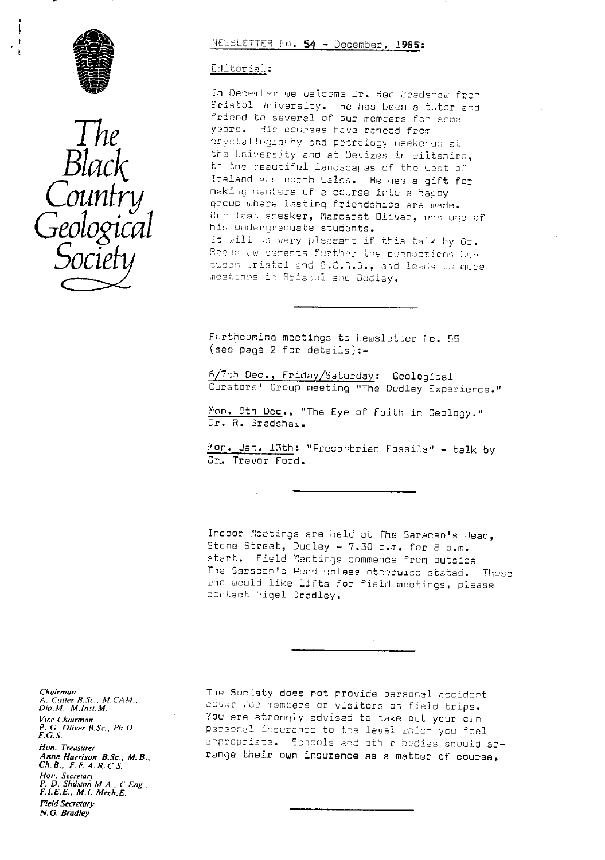



# NEWSLETTER No. 54 - December, 1985:

### Editorial:

In December we welcome Dr. Reg Bredsnaw from Sristol University. He has been a tutor and friend to several of our members for some years. His courses have renged from crystallograthy and petrology waekends at the University and at Devizes in Wiltshira, to the beautiful landscapes of the west of Ireland and north Wales. He has a gift for making members of a course into a happy group where lasting friendships are made. Our last speaker, Margaret Oliver, was one of his undergraduate students. It will be very pleasant if this talk by Or. Bradahaw caments further the connactions betusen Bristol and B.C.G.S., and leads to more meetings in Bristol and Dudlay.

Forthcoming meetings to Newsletter No. 55  $(see page 2 for details):$ 

6/7th Dec., Friday/Saturday: Geological Curators' Group meeting "The Dudley Experience."

Mon. 9th Dec., "The Eye of Faith in Geology." Dr. R. Bradshaw.

Mon. Jan. 13th: "Precambrian Fossils" - talk by Dr. Trever Ford.

Indoor Meetings are held at The Saracen's Head, Stone Street, Dudley - 7.30 p.m. for 8 p.m. start. Field Meetings commence from outside The Saracen's Head unless otherwise stated. These who would like lifts for field meetings, please contact Migel Bradley.

Chairman A. Cutler B.Sc., M.CAM.,<br>Dip.M., M.Inst.M. Vice Chairman  $P. G. Oliver B. Sc., Ph.D., F. G.S.$ Hon. Treasurer Anne Harrison B.Sc., M.B.,  $Ch.B., F.F.A.R.C.S.$ Hon. Secretary<br>P. D. Shilston M.A., C.Eng., F.I.E.E., M.I. Mech.E. **Field Secretary** N.G. Bradley

The Society does not provide personal accident cover for members or visitors on field trips. You are strongly advised to take out your cwn personal insurance to the level which you feel appropriate. Schools and other bedies should arrange their own insurance as a matter of course.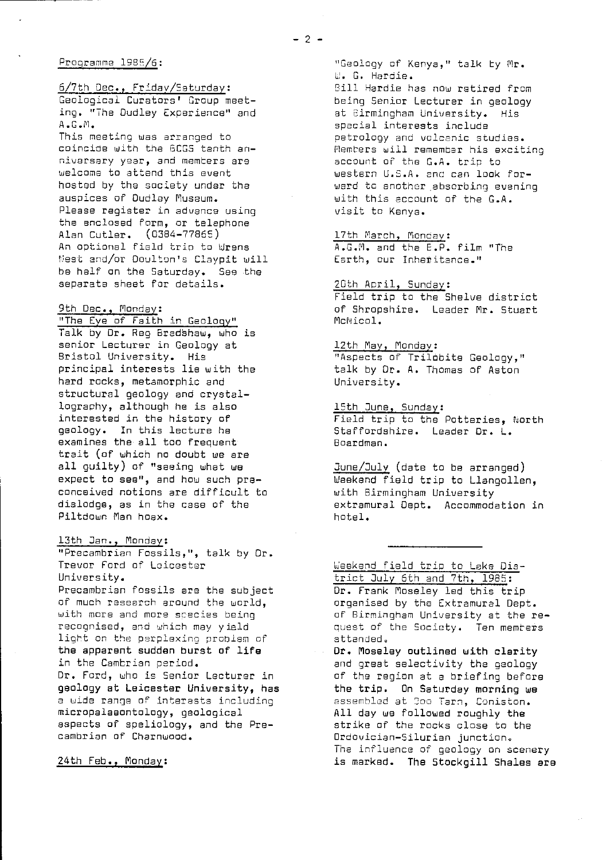### Programme 1985/6:

6/7th Dec., Friday/Saturday : Geological Curators' Group meeting. "The Dudley Experience" and A.G.M.

This meeting was arranged to coincide with the BCGS tenth anniversary year, and memters are welcome to attend this event hosted by the society under the auspices of Dudley Museum. Please register in advance using the enclosed form, or telephone Alan Cutler. (0384-77855) An optional field trip to Wrens Nest and/or Doulton's Claypit will be half an the Saturday. See the separate sheet for details.

### 9th Dec., Monday:

<u>"The Eye of Faith in Geology</u>" Talk by Dr. Reg Bradshaw, who is senior Lecturer in Geology at Bristol University. His principal interests lie with the hard rocks, metamorphic and structural geology and crystallography, although he is also interested in the history of geology. In this lecture he examines the all too frequent trait (of which no doubt we are all guilty) of "seeing what we expect to see", and how such preconceived notions are difficult to dislodge, as in the case of the Piltdown Man hoax.

### 13th Jan., Monday:

"Precambrian Fossils,", talk by Dr. Trevor Ford of Leicester University. Precambrian fossils are the subject of much research around the world, with more and more species being recognised, and which may yield light on the perplexing problem of the apparent sudden burst of life in the Cambrian period. Dr. Ford, who is Senior Lecturer in geology at Leicester University, has a wide range of interests including micropelaeontology, geological aspects of speliology, and the Pre-

cambrian of Charnwood.

### 24th Feb., Monday :

"Geology of Kenya," talk by Mr. L. G. Hardie.

Bill Hardie has now retired from being Senior Lecturer in geology at Birmingham University. His special interests include petrology and volcanic studies. Members will remember his exciting account of the G.A. trip to western U.S.A. and can look forward to another absorbing evening with this account of the G.A. visit to Kenya.

17th March, Monday: A.G.M. and the E.P. film "The Earth, our Inheritance."

### 20th April, Sunday:

Field trip to the Shelve district of Shropshire. Leader Mr. Stuart McNico1.

12th May, Monday: "Aspects of Trilobite Geology," talk by Dr. A. Thomas of Aston University.

15th June, Sunday :

Field trip to the Potteries, North Staffordshire. Leader Dr. L. Boardman.

June/July (date to be arranged) Weekend field trip to Llangollen, with Birmingham University extramural Dept. Accommodation in hotel.

# Weekend field trip to Lake Dis-

trict July 6th and 7th, 1985: Dr. Frank Moseley led this trip organised by the Extramural Dept. of Birmingham University at the request of the Society. Ten members attended.

**Dr. Moseley outlined with clarity** and great selectivity the geology of the region at a briefing before the trip. On Saturday morning we assembled at Goo Tarn, Coniston. All day we followed roughly the strike of the rocks close to the Ordovician-Silurian junction. The influence of geology on scenery is marked. The Stockgill Shales are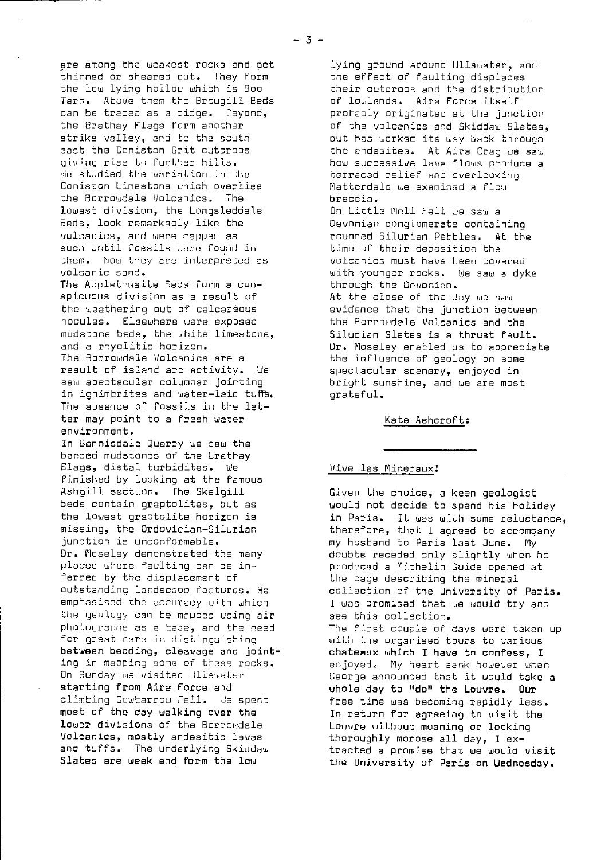are among the weakest rocks and get thinned or sheared out. They form the low lying hollow which is Boo Tarn. Above them the Browgill Eeds can be traced as a ridge. Feyond, the Brathay Flags form another strike valley, and to the south east the Coniston Grit outcrops giving rise to further hills. be studied the variation in the Coniston Limestone which overlies the Borrowdale Volcanics. The lowest division, the Longsleddale Beds, look remarkably like the volcanics, and were mapped as such until Fossils were found in them. Now they era interpreted as volcanic sand.

The Applethwaite Beds form a conspicuous division as a result of the weathering out of calcareous nodules. Elsewhere were exposed mudstone beds, the white limestone, and a rhyolitic horizon. The Borrowdale Volcenics are a result of island arc activity. Me saw spectacular columnar jointing in ignimbrites and water-laid tuffs. The absence of fossils in the latter may point to a fresh water environment.

In Bannisdale Quarry we saw the banded mudstones of the Erathay Flags, distal turbidites. tie finished by looking at the famous Ashgill section. The Skelgill beds contain graptolites, but as the lowest graptolite horizon is missing, the Ordovician-Silurian junction is unconformablo. Dr. Moseley demonstrated the many places where faulting can be inferred by the displacement of outstanding landscape features. He emphasised the accuracy with which the geology can be mapped using air photographs as a base, and the need for great care in distinguishing between bedding, cleavage and **joint** On Sunday we visited Ullswater starting from Airs Force and climbing Gowbarrow Fell. We spent most of the day walking over the lower divisions of the Borrowdale Volcanics, mostly andesitic lavas and tuffs. The underlying Skiddaw Slates are weak and form the **low**

lying ground around Ullswater, and the effect of faulting displaces their outcrops and the distribution of lowlands. Aira Force itself probably originated at the junction of the volcanics and Skiddaw Slates, but has worked its way back through the andesites. At Aira Crag we saw how successive lava flows produce a terraced relief and overlooking Matterdale we examined a flow breccia.

On Little Mell Fell we saw a Devonian conglomerate containing rounded Silurian Pebbles. At the time of their deposition the volcanics must have been covered with younger rocks. We saw a dyke through the Devonian. At the close of the day ue saw evidence that the junction between the Borrowdale Volcanics and the Silurian Slates is a thrust fault. Dr. Moseley enabled us to appreciate the influence of geology on some spectacular scenery, enjoyed in bright sunshine, and we are most grateful.

### Kate Ashcroft:

### Vive les Mineraux!

Given the choice, a keen geologist would not decide to spend his holiday in Paris. It was with some reluctance, therefore, that I agreed to accompany my husband to Paris last June. My doubts receded only slightly when he produced a Michelin Guide opened at the page describing the mineral collection of the University of Paris. I was promised that we would try and see this collection. The First couple of days were taken up with the organised tours to various **chateaux which I** have to **confess, I**

enjoyed. My heart sank however when George announced that it would take a whole day to "do" the Louvre. Our free time was becoming rapidly less. In return for agreeing to visit the Louvre without moaning or looking thoroughly morose all day, I extracted a promise that we would visit the University of Paris on Wednesday.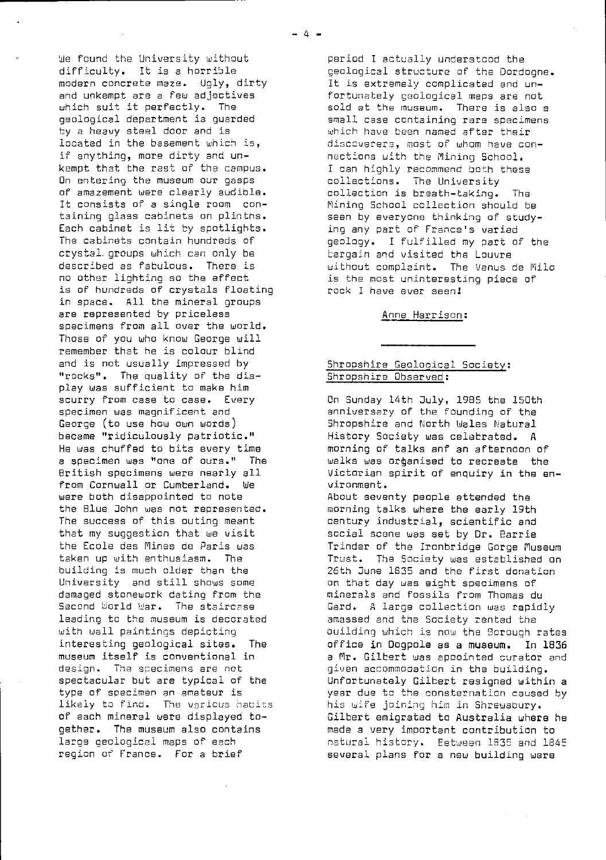We found the University without difficulty. It is a horrible modern concrete maze. Ugly, dirty and unkempt are a few adjectives which suit it perfectly. The geological department is guarded by a heavy steel door and is located in the basement which is, if anything, more dirty and unkempt that the rest of the campus. On entering the museum our gasps of amazement were clearly audible. It consists of a single room containing glass cabinets on plinths. Each cabinet is lit by spotlights. The cabinets contain hundreds of crystal. groups which can only be described as fabulous. There is no other lighting so the effect is of hundreds of crystals floating in space. All the mineral groups are represented by priceless specimens from all over the world. Those of you who know George will remember that he is colour blind and is not usually impressed by "rocks". The quality of the display was sufficient to make him scurry from case to case. Every specimen was magnificent and George (to use how own words) became "ridiculously patriotic." He was chuffed to bits every time a specimen was "one of ours." The British specimens were nearly all from Cornwall or Cumberland. We were both disappointed to note the Blue John was not represented. The success of this outing meant that my suggestion that we visit the Ecole des Mines de Paris was taken up with enthusiasm. The building is much older than the University and still shows some damaged stonework dating from the Second World War. The staircase leading to the museum is decorated with wall paintings depicting interesting geological sites. The museum itself is conventional in design. The specimens are not spectacular but are typical of the type of specimen an amateur is likely to find. The various habits of each mineral were displayed together. The museum also contains large geological maps of each region of France. For a brief

period I actually understood the geological structure of the Dordogne. It is extremely complicated and unfortunately geological maps are not sold at the museum. There is also a small case containing rare specimens which have been named after their discoverers, most of whom have connections with the Mining School. I can highly recommend both these collections. The University collection is breath-taking. The Mining School collection should be seen by everyone thinking of studying any part of France's varied geology. I fulfilled my part of the bargain and visited the Louvre without complaint. The Venus de Milo is the most uninteresting piece of rock I have ever seen!

### Anne Harrison :

## Shropshire Geological Society : shropshire Observed;<br>Shropshire Observed;

On Sunday 14th Duly, 1985 the 150th anniversary of the founding of the Shropshire and North Wales Natural History Society was celebrated. A morning of talks anf an afternoon of walks was ordganised to recreate the Victorian spirit of enquiry in the environment.

About seventy people attended the morning talks where the early 19th century industrial, scientific and social scene was set by Dr. Barrie Trinder of the Ironbridge Gorge Museum Trust. The Society was established on 26th June 1835 and the first donation an that day was eight specimens of minerals and fossils from Thomas du Gard. A large collection was rapidly amassed and the Society rented the building which is now the Borough rates office in Dogpole as a museum. In 1836 a Mr. Gilbert was appointed curator and given accommodation in the building. Unfortunately Gilbert resigned within a year due to the consternation caused by his wife joining him in Shrewsbury. Gilbert emigrated to Australia where he made a very important contribution to natural history. Eetueen 153E and 1845 several plans for a new building were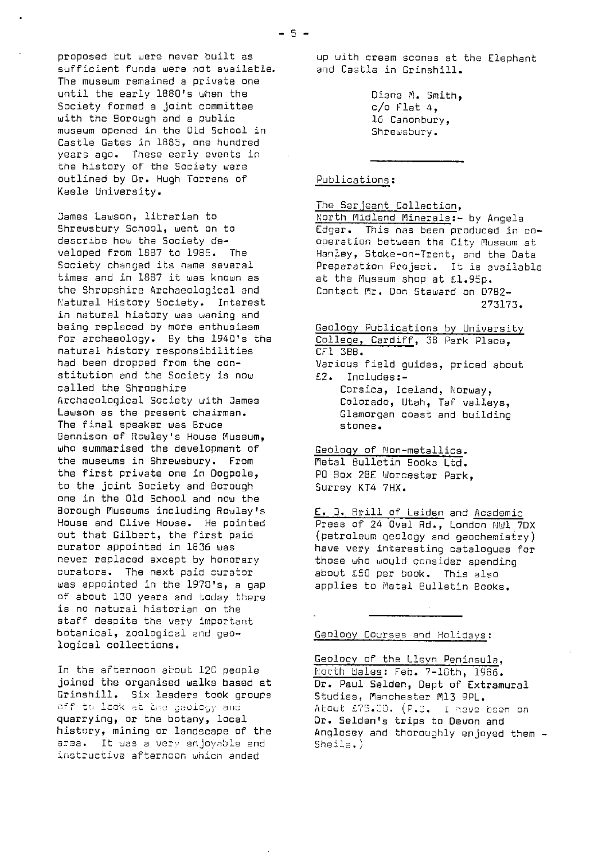proposed but were never built as sufficient funds were not available. The museum remained a private one until the early 1860's when the Society formed a joint committee with the Borough and a public museum opened in the Old School in Castle Gates in 1885, one hundred years ago. These early events in the history of the Society were outlined by Dr. Hugh Torrens of Keele University.

James Lawson, librarian to Shrewsbury School, went on to describe how the Society developed from 1887 to 1985. The Society changed its name several times and in 1867 it was known as the Shropshire Archaeological and Natural History Society. Interest in natural history was waning and being replaced by more enthusiasm for archaeology. By the 1940's the natural history responsibilities had been dropped from the constitution and the Society is now called the Shropshire Archaeological Society with James Lawson as the present chairman. The final speaker was Bruce Bennison of Rowley's House Museum, who summarised the development of the museums in Shrewsbury. From the first private one in Dogpole, to the joint Society and Borough one in the Old School and now the Borough Museums including Rowley's House and Clive House. He pointed out that Gilbert, the first paid curator appointed in 1836 was never replaced except by honorary curators. The next paid curator was appointed in the 1970'5, a gap of about 130 years and today there is no natural historian on the staff despite the very important botanical, zoological and geological collections.

In the afternoon about 12C people joined the organised walks based at Grinshill. Six leaders took groups<br>off to look at the geology and quarrying, or the botany, local history, mining or landscape of the area. It was a very enjoyable and instructive afternoon which ended

up with cream scones at the Elephant and Castle in Grinshill.

> Diana M. Smith,  $c$ /o Flat 4, 16 Canonbury, Shrewsbury.

# Publications :

The Sarjeant Collection, North Midland Minerals : - by Angela Edgar. This has been produced in cooperation between the City Museum at Hanley, Stoke-on-Trent, and the Data Preparation Project. It is available at the Museum shop at £1.96p. Contact Mr. Don Steward on 0782- 273173.

Geology Publications by University College, Cardiff, 38 Park Place, CFI 3BB. Various field guides, priced about £2. Includes:- Corsica, Iceland, Norway, Colorado, Utah, Taf valleys,

Glamorgan coast and building stones.

Geology of Non-metallics. Metal Bulletin Books Ltd. PO Box 28E Worcester Park, Surrey KT4 7HX.

E. 3. Brill of Leiden and Academic Press of 24 Oval Rd., London NW1 7DX (petroleum geology and geochemistry) have very interesting catalogues for those who would consider spending about £50 per book. This also applies to Metal Bulletin Books.

Geclony Courses and Holidays :

Geolocy of the Llevn Peninsula, North bales: Feb. 7-10th, 1985. Dr. Paul Selden, Dept of Extramural Studies, Manchester M13 9PL. Atout £75.00. (P.S. I have been on Dr. Selden's trips to Devon and Anglesey and thoroughly enjoyed them -Sheila.)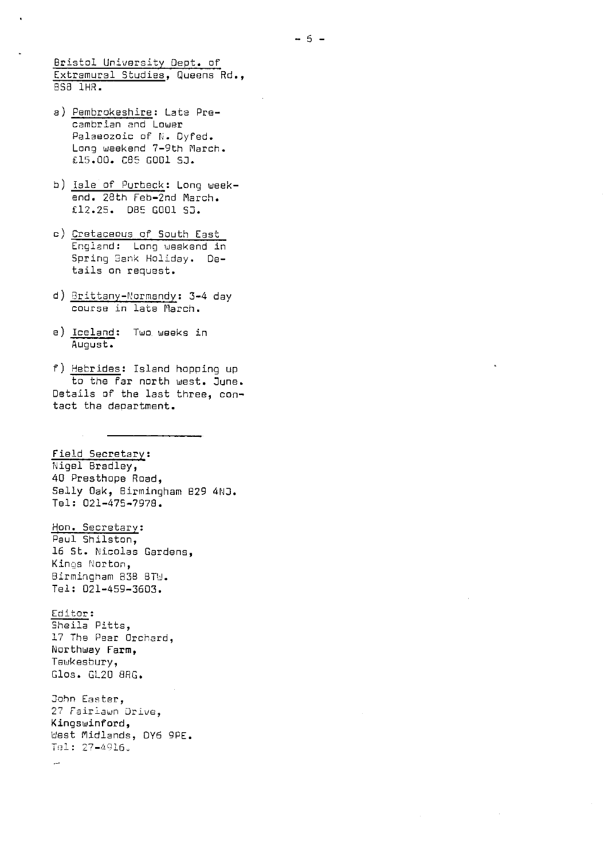Bristol University Dept. of Extramural Studies, Queens Rd., BS8 1HR.

- a) Pembrokeshire: Late Precambrian and Lower Palaeozoic of N. Dyfed. Long weekend 7-9th March. £15.00. C85 GOO1 SJ.
- b) Isle of Purbeck: Long weekend. 28th Feb-2nd March. £12.25. 085 G001 50.
- c) Cretaceous of South East England: Long weekend in Spring Sank Holiday. Details on request.
- d) Brittany-Normandy : 3-4 day course in late March.
- e) Iceland: Two weeks in August.

f) Hebrides: Island hopping up to the far north west, June. Details of the last three, contact the department.

Field Secretary: Nigel Bradley, 40 Presthope Road, Selly Oak, Birmingham 829 4NJ. Tel: 021-475-7978.

Hon. Secretary : Paul Shilston, 16 St. Nicolas Gardens, Kings Norton, Birmingham 838 8TW. Tel: 021-459-3603.

Editor : Sheila Pitts, 17 The Pear Orchard, Northway Farm, Tewkesbury, Glos. GL20 8RG.

John Easter, 27 Fairlawn Drive, Kingswinford, Uest Midlands, DY6 9PE.  $Te1: 27-4916.$ 

 $\sim$ 

 $- 6 -$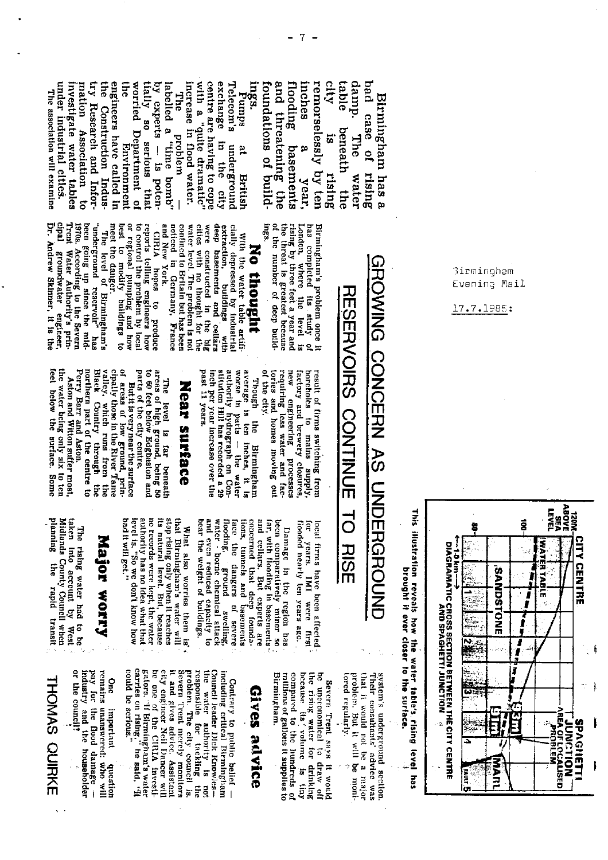ings.<br>Pumps engineers have called in **SHS** with a "quite dramatic" centre are having to cope Telecom's and threatening the city table under industrial cities. the Construction Indusworried Department of tially so serious that increase in flood water. exchange flooding by experts - is potenduu b investigate water tables try Research and Inforlabelled a "time bomb" foundations of build remorselessly by ten bad case of nation Association to menes The association will examine **The** Birmingham has a beneath the broblem  $15$ The a eut the mqerground **Environment** p basements rising rising **British** water year. city

been going up since the mid-<br>1970s. According to the Severn<br>1970s. According to the Severn noticed in Germany, France<br>and New York.<br>CIRIA hopes to produce cities with no thought for the<br>water level. The problem is not<br>confined to Britain but has been **1ngs**. Dr. Andrew Skinner, it is the cipal groundwater engineer or regional pumping and how<br>best to modify buildings to reports telling engineers how<br>to control the problem by local extraction, buildings with<br>deep basements and cellars of the number of deep buildrising by three feet a year and<br>the threat is greatest because has completed its study<br>London, where the level "underground reservoir" meet the danger. were constructed in the big Birmingham's problem once it<br>has completed its study of cially depressed by industrial The level of Birmingham's With the water table artifi-No thought **RESERVOIRS** ធ new porcholes to mains supply result of firms switching from factory and brewery closures.

worse in parts -- the water<br>authority hydrograph on Constitution Hill has recorded a 29 requiring less water and facinch per year increase over the<br>past 11 years. Though the Birmingham<br>average is ten inches, it is of the city. tories and homes moving ou engineering processes

# **Near streace**

arcas of high ground, being 50<br>to 60 feet below Edgbaston and The level is far beneath

cipally those in the River Tame cipally those in the River Tame valley. which runs from the Black Country through the morthern part of the centre to of areas of low ground, prin-Perry Barr and Aston. parts of the city centre. But it is very near the surface

the water being only six to ten<br>feet below the surface. Some Aston and Witton suffer most.

> What also worries them is'<br>that Birmingham's water will flooding, ground swelling,<br>water borne chemical sttack and even reduced capacity to hear the weight of buildings. **Iaco** concerned that deep foundaand cellars. But experts are been comparatively minor so tions, tunnels and basements far, with flooding in basements the dangers of severe

flooded nearly ten years ago.

Damage in the region has

local firms bave been affected

ā

years.

IMI were

lirst

level is. "So we don't know how<br>bad it will get." no records were kept, the water<br>authority has no idea what that its natural level. But, because stop rising only when it reaches

Major worry

taken Into account by West<br>Midlands County Council when<br>planning the rapid transit The rising water had to be

**THOMAS QUIRKE** 

be one of the CIRLA investigations of the CIRLA investigations and properties on rising," he said, "if could be scripps." One important question<br>tremains unanswered: who will<br>tremains unanswered: who will<br>remains unanswered: Council leader Dick Knowles --<br>the water authority is not<br>responsible for tacking the city engineer Neil Dancer will or the council? industry and the householder it and gives advice. Assistant gevern Trent mercly manitors problem. The city council is, including critical Birmingham compared to the hundreds of<br>millions of gallons it supplies to because its volume is tiny Birmingham. be uncconomical to draw of the rising water for drinking Severn Trent says it would Contrary to public belief -Gives advice

problem. But it will be monithat it would not be a major system's underground section.<br>Their consultants' advice was lored regularly.

CONTINUE  $\vec{0}$ **RISE** 

This illustration reveals how the water table's rising level has



# GROWING CONCERN AS UNDERGROUND



3irmingham Evening Mail

17.7.1985: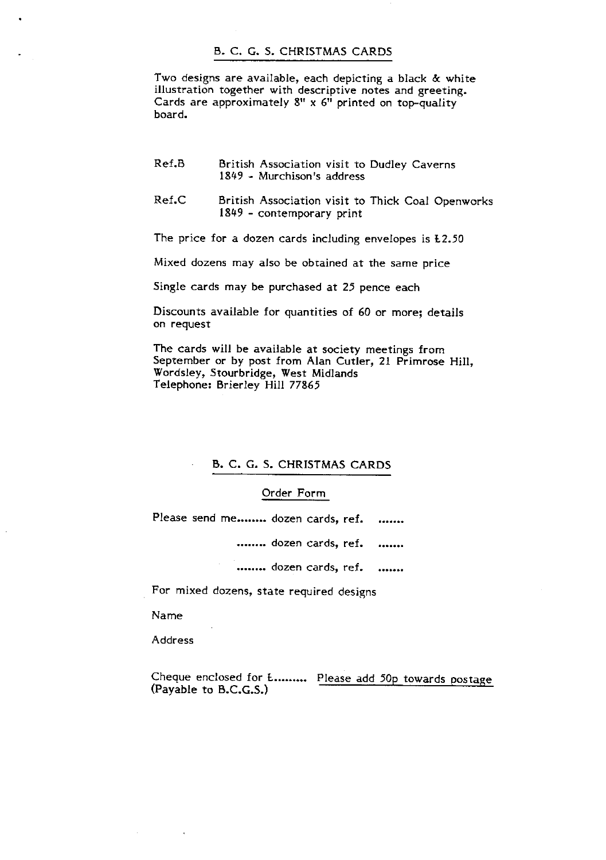# B. C. G. S. CHRISTMAS CARDS

Two designs are available, each depicting a black & white illustration together with descriptive notes and greeting. Cards are approximately 8" x 6" printed on top-quality board.

- Ref.B British Association visit to Dudley Caverns 1849 - Murchison's address
- Ref.0 British Association visit to Thick Coal Openworks 1849 - contemporary print

The price for a dozen cards including envelopes is L2.50

Mixed dozens may also be obtained at the same price

Single cards may be purchased at 25 pence each

Discounts available for quantities of 60 or more; details on request

The cards will be available at society meetings from September or by post from Alan Cutler, 21 Primrose Hill, Wordsley, Stourbridge, West Midlands Telephone: Brierley Hill 77865

# • B. C. G. S. CHRISTMAS CARDS

### Order Form

Please send me........ dozen cards, ref. .......

........ dozen cards, ref. .......

........ dozen cards, ref. .......

For mixed dozens, state required designs

Name

Address

Cheque enclosed for L.......... Please add 50p towards postage  $(Payable to B.C.G.S.)$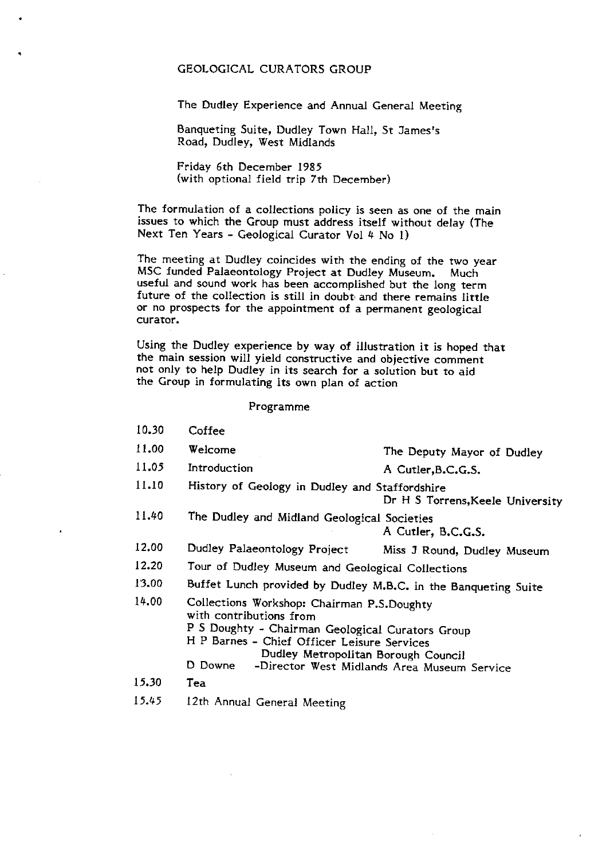### GEOLOGICAL CURATORS GROUP

The Dudley Experience and Annual General Meeting

Banqueting Suite, Dudley Town Hall, St James's Road, Dudley, West Midlands

Friday 6th December 1985 (with optional field trip 7th December)

The formulation of a collections policy is seen as one of the main issues to which the Group must address itself without delay (The Next Ten Years - Geological Curator Vol 4 No 1)

The meeting at Dudley coincides with the ending of the two year<br>MSC funded Palaeontology Project at Dudley Museum. Much MSC funded Palaeontology Project at Dudley Museum. useful and sound work has been accomplished but the long term future of the collection is still in doubt, and there remains little or no prospects for the appointment of a permanent geological curator.

Using the Dudley experience by way of illustration it is hoped that the main session will yield constructive and objective comment not only to help Dudley in its search for a solution but to aid the Group in formulating its own plan of action

### Programme

- 10.30 Coffee
- 11.00 Welcome The Deputy Mayor of Dudley
- 11.05 Introduction A Cutler, B.C.G.S.
- 11.10 History of Geology in Dudley and Staffordshire

Dr H 5 Torrens,Keele University

- 11.40 The Dudley and Midland Geological Societies A Cutler, B.C.G.S.
- 12.00 Dudley Palaeontology Project Miss J Round, Dudley Museum
- 12.20 Tour of Dudley Museum and Geological Collections
- 13.00 Buffet Lunch provided by Dudley M.B.C. in the Banqueting Suite
- 14.00 Collections Workshop: Chairman P.S.Doughty with contributions from P 5 Doughty - Chairman Geological Curators Group H P Barnes - Chief Officer Leisure Services Dudley Metropolitan Borough Council D Downe -Director West Midlands Area Museum Service
- 15.30 Tea
- 15.45 12th Annual General Meeting